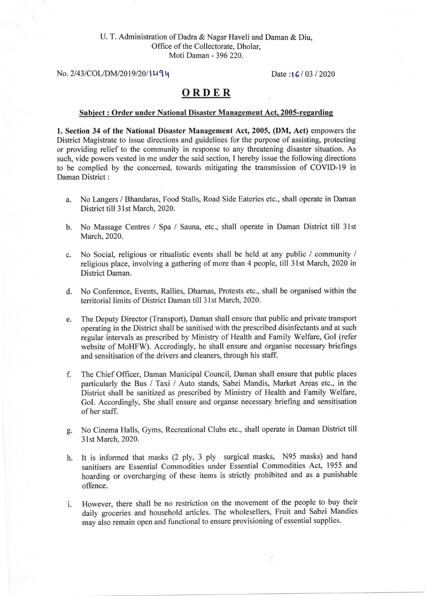## U. T. Administration of Dadra & Nagar Haveli and Daman & Diu, Office of the Collectorate, Dholar, Moti Daman - 396 220.

 $\text{No. } 2/43/\text{COL} / \text{DM}/2019/20 / 149$  Date : $\frac{1}{6}$  / 03 / 2020

## ORDER

## Subject : Order under National Disaster Management Act, 2005-regarding

1. Section 34 of the National Disaster Management Act, 2005, (DM, Act) empowers the District Magistrate to issue directions and guidelines for the purpose of assisting, protecting or providing relief to the community in response to any threatening disaster situation. As such, vide powers vested in me under the said section, I hereby issue the following directions to be complied by the concerned, towards mitigating the transmission of COVID-l9 in Daman District :

- a. No Langers / Bhandaras, Food Stalls, Road Side Eateries etc., shall operate in Daman District till 3lst March,2020.
- b. No Massage Centres / Spa / Sauna, etc., shall operate in Daman District till 31st March, 2020.
- c. No Social, religious or ritualistic events shall be held at any public / community / religious place, involving a gathering of more than 4 people, till 3lst March, 2020 in District Daman.
- d. No Conference, Events, Rallies, Dharnas, Protests etc., shall be organised within the territorial limits of District Daman till 3lst March, 2020.
- e. The Deputy Director (Transport), Daman shall ensure that public and private transport operating in the District shall be sanitised with the prescribed disinfectants and at such regular intervals as prescribed by Ministry of Health and Family Welfare, GoI (refer website of MoHFW). Accrodingly, he shall ensure and organise necessary briefings and sensitisation of the drivers and cleaners, through his staff.
- f. The Chief Officer, Daman Municipal Council, Daman shall ensure that public places particularly the Bus / Taxi / Auto stands, Sabzi Mandis, Market Areas etc., in the District shall be sanitized as prescribed by Ministry of Health and Family Welfare, GoI. Accordingly, She shall ensure and organse necessary briefing and sensitisation of her staff.
- g. No Cinema Halls, Gyms, Recreational Clubs etc., shall operate in Daman District till 3lst March, 2020.
- h. It is informed that masks (2 ply, 3 ply surgical masks, N95 masks) and hand sanitisers are Essential Commodities under Essential Commodities Act, 1955 and hoarding or overcharging of these items is strictly prohibited and as a punishable offence.
- i. However, there shall be no restriction on the movement of the people to buy their daily groceries and household articles. The wholesellers, Fruit and Sabzi Mandies may also remain open and functional to ensure provisioning of essential supplies.